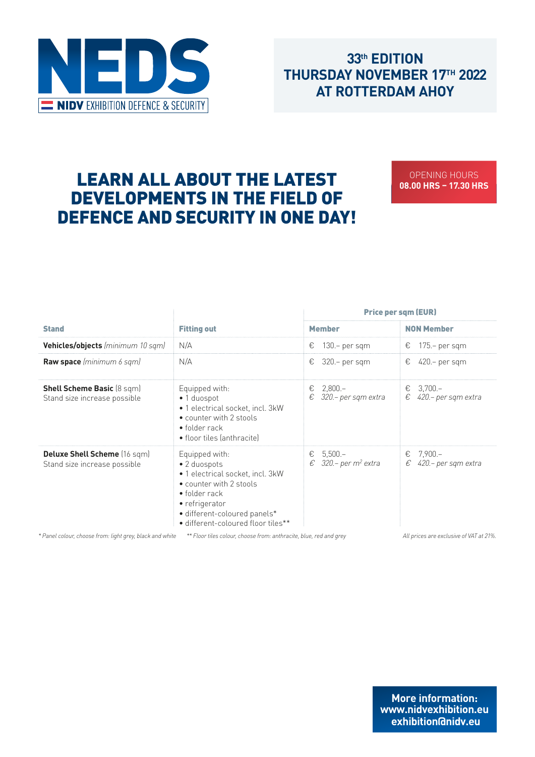

## 33<sup>th</sup> **EDITION THURSDAY NOVEMBER 17TH 2022 AT ROTTERDAM AHOY** AT ROTTERDAM AHOY

# LEARN ALL ABOUT THE LATEST DEVELOPMENTS IN THE FIELD OF DEFENCE AND SECURITY IN ONE DAY! THE FIELD OF DEFENCE AND SECURITY IN OUR CONTINUES.

OPENING HOURS **08.00 HRS – 17.30 HRS**

|                                                                     | <b>Fitting out</b>                                                                                                                                                                                     | <b>Price per sqm (EUR)</b>                            |                                            |  |  |
|---------------------------------------------------------------------|--------------------------------------------------------------------------------------------------------------------------------------------------------------------------------------------------------|-------------------------------------------------------|--------------------------------------------|--|--|
| <b>Stand</b>                                                        |                                                                                                                                                                                                        | <b>Member</b>                                         | <b>NON Member</b>                          |  |  |
| <b>Vehicles/objects</b> (minimum 10 sqm)                            | N/A                                                                                                                                                                                                    | €<br>130.- per sqm                                    | 175.- per sqm<br>€                         |  |  |
| <b>Raw space</b> (minimum 6 sqm)                                    | N/A                                                                                                                                                                                                    | €<br>$320 - per$ sqm                                  | €<br>420.– per sqm                         |  |  |
| <b>Shell Scheme Basic (8 sqm)</b><br>Stand size increase possible   | Equipped with:<br>• 1 duospot<br>· 1 electrical socket, incl. 3kW<br>• counter with 2 stools<br>$\bullet$ folder rack<br>• floor tiles (anthracite)                                                    | $2,800-$<br>€<br>€<br>320.- per sqm extra             | $3,700-$<br>€<br>€<br>420.– per sqm extra  |  |  |
| <b>Deluxe Shell Scheme</b> (16 sqm)<br>Stand size increase possible | Equipped with:<br>• 2 duospots<br>• 1 electrical socket, incl. 3kW<br>• counter with 2 stools<br>• folder rack<br>• refrigerator<br>· different-coloured panels*<br>· different-coloured floor tiles** | $5,500 -$<br>€<br>€<br>320.- per m <sup>2</sup> extra | $7,900 -$<br>€<br>€<br>420.– per sqm extra |  |  |

*\* Panel colour, choose from: light grey, black and white \*\* Floor tiles colour, choose from: anthracite, blue, red and grey All prices are exclusive of VAT at 21%.*